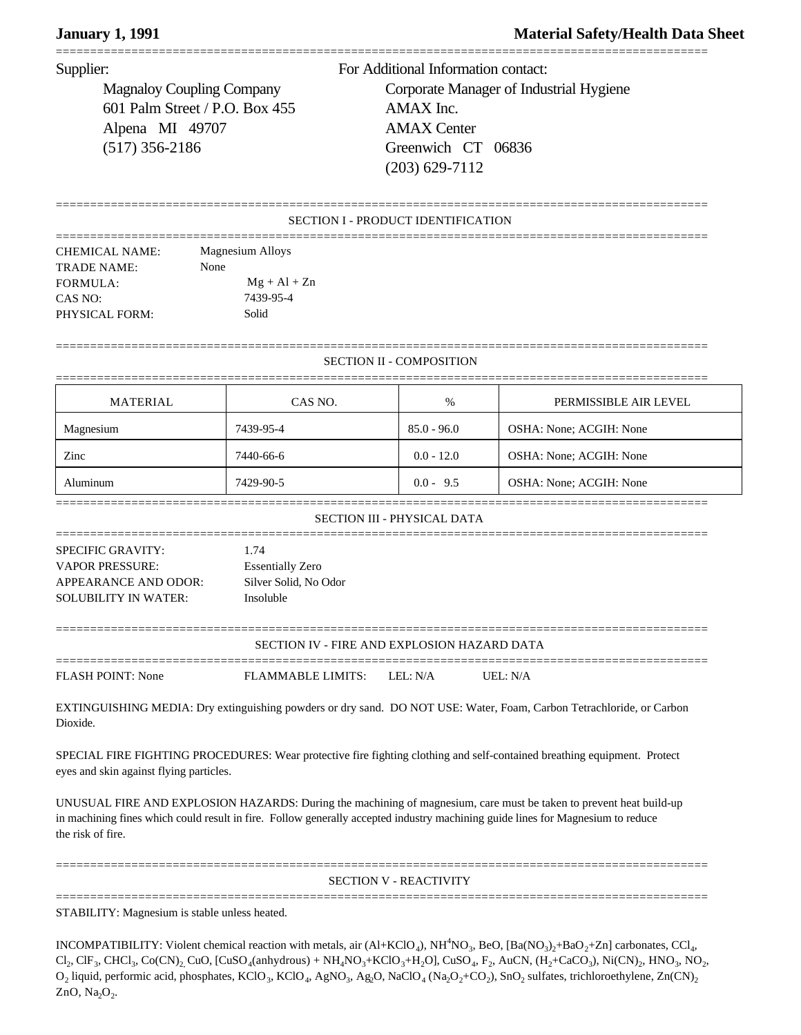# **January 1, 1991 Material Safety/Health Data Sheet**

===============================================================================================

601 Palm Street / P.O. Box 455 AMAX Inc. Alpena MI 49707 AMAX Center (517) 356-2186 Greenwich CT 06836

Supplier: For Additional Information contact: Magnaloy Coupling Company Corporate Manager of Industrial Hygiene (203) 629-7112

## SECTION I - PRODUCT IDENTIFICATION

===============================================================================================

| CHEMICAL NAME: | Magnesium Alloys |  |
|----------------|------------------|--|
| TRADE NAME:    | None             |  |
| FORMULA:-      | $Mg + Al + Zn$   |  |
| CAS NO:        | 7439-95-4        |  |
| PHYSICAL FORM: | Solid            |  |

## =============================================================================================== SECTION II - COMPOSITION

| <b>MATERIAL</b> | CAS NO.   | $\%$          | PERMISSIBLE AIR LEVEL   |
|-----------------|-----------|---------------|-------------------------|
| Magnesium       | 7439-95-4 | $85.0 - 96.0$ | OSHA: None; ACGIH: None |
| Zinc            | 7440-66-6 | $0.0 - 12.0$  | OSHA: None; ACGIH: None |
| Aluminum        | 7429-90-5 | $0.0 - 9.5$   | OSHA: None; ACGIH: None |

### SECTION III - PHYSICAL DATA

===============================================================================================

| SPECIFIC GRAVITY:      | 1.74                    |
|------------------------|-------------------------|
| <b>VAPOR PRESSURE:</b> | <b>Essentially Zero</b> |
| APPEARANCE AND ODOR:   | Silver Solid, No Odor   |
| SOLUBILITY IN WATER:   | Insoluble               |

|                          | SECTION IV - FIRE AND EXPLOSION HAZARD DATA |            |  |
|--------------------------|---------------------------------------------|------------|--|
| <b>FLASH POINT: None</b> | FLAMMABLE LIMITS: LEL: N/A                  | IIFI : N/A |  |

EXTINGUISHING MEDIA: Dry extinguishing powders or dry sand. DO NOT USE: Water, Foam, Carbon Tetrachloride, or Carbon Dioxide.

SPECIAL FIRE FIGHTING PROCEDURES: Wear protective fire fighting clothing and self-contained breathing equipment. Protect eyes and skin against flying particles.

UNUSUAL FIRE AND EXPLOSION HAZARDS: During the machining of magnesium, care must be taken to prevent heat build-up in machining fines which could result in fire. Follow generally accepted industry machining guide lines for Magnesium to reduce the risk of fire.

### SECTION V - REACTIVITY

STABILITY: Magnesium is stable unless heated.

INCOMPATIBILITY: Violent chemical reaction with metals, air  $(Al+KClO_4)$ , NH<sup>4</sup>NO<sub>3</sub>, BeO, [Ba(NO<sub>3</sub>)<sub>2</sub>+BaO<sub>2</sub>+Zn] carbonates, CCl<sub>4</sub>,  $\text{Cl}_2$ ,  $\text{CIF}_3$ ,  $\text{CHCl}_3$ ,  $\text{Co(CN)}_2$ ,  $\text{CuO}$ ,  $\text{[CuSO}_4(\text{anhydrous}) + \text{NH}_4\text{NO}_3 + \text{KClO}_3 + \text{H}_2\text{O}$ ],  $\text{CuSO}_4$ ,  $\text{F}_2$ , AuCN,  $(\text{H}_2 + \text{CaCO}_3)$ ,  $\text{Ni(CN)}_2$ ,  $\text{HNO}_3$ ,  $\text{NO}_2$ ,  $O_2$  liquid, performic acid, phosphates, KClO<sub>3</sub>, KClO<sub>4</sub>, AgNO<sub>3</sub>, Ag<sub>2</sub>O, NaClO<sub>4</sub> (Na<sub>2</sub>O<sub>2</sub>+CO<sub>2</sub>), SnO<sub>2</sub> sulfates, trichloroethylene, Zn(CN)<sub>2</sub>  $ZnO, Na<sub>2</sub>O<sub>2</sub>$ .

===============================================================================================

===============================================================================================